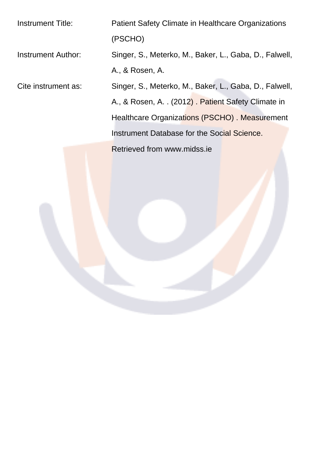Instrument Title: Patient Safety Climate in Healthcare Organizations (PSCHO) Instrument Author: Singer, S., Meterko, M., Baker, L., Gaba, D., Falwell, A., & Rosen, A. Cite instrument as: Singer, S., Meterko, M., Baker, L., Gaba, D., Falwell, A., & Rosen, A. . (2012) . Patient Safety Climate in Healthcare Organizations (PSCHO) . Measurement Instrument Database for the Social Science. Retrieved from www.midss.ie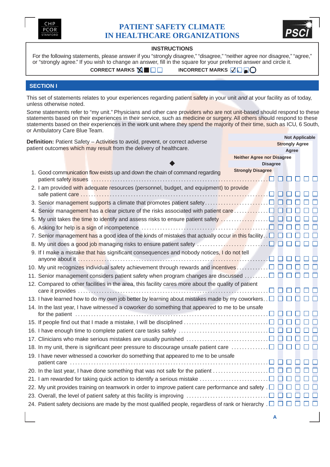



## **INSTRUCTIONS**

For the following statements, please answer if you "strongly disagree," "disagree," "neither agree nor disagree," "agree," or "strongly agree." If you wish to change an answer, fill in the square for your preferred answer and circle it.

**CORRECT MARKS NI II II II II II III III III II II II II II II II II II II II II II II II II II II II II II II II II II II II II II II II**

## **SECTION I**

This set of statements relates to your experiences regarding patient safety in your unit and at your facility as of today, unless otherwise noted.

Some statements refer to "my unit." Physicians and other care providers who are not unit-based should respond to these statements based on their experiences in their service, such as medicine or surgery. All others should respond to these statements based on their experiences in the work unit where they spend the majority of their time, such as ICU, 6 South, or Ambulatory Care Blue Team. **Not Applicable**

| Agree<br><b>Neither Agree nor Disagree</b><br><b>Disagree</b><br><b>Strongly Disagree</b><br>1. Good communication flow exists up and down the chain of command regarding<br>2. I am provided with adequate resources (personnel, budget, and equipment) to provide<br>5. My unit takes the time to identify and assess risks to ensure patient safety $\ldots \ldots \ldots \ldots \square$<br>7. Senior management has a good idea of the kinds of mistakes that actually occur in this facility $\square$<br>9. If I make a mistake that has significant consequences and nobody notices, I do not tell<br>10. My unit recognizes individual safety achievement through rewards and incentives<br>11. Senior management considers patient safety when program changes are discussed $\ldots \ldots \square$<br>12. Compared to other facilities in the area, this facility cares more about the quality of patient<br>13. I have learned how to do my own job better by learning about mistakes made by my coworkers. $\Box$<br>14. In the last year, I have witnessed a coworker do something that appeared to me to be unsafe<br>15. If people find out that I made a mistake, I will be disciplined $\ldots \ldots \ldots \ldots \ldots \ldots \ldots \ldots \square$<br>16. I have enough time to complete patient care tasks safely $\ldots \ldots \ldots \ldots \ldots \ldots \ldots \ldots \square$<br>17. Clinicians who make serious mistakes are usually punished $\ldots \ldots \ldots \ldots \ldots \ldots \ldots \square$<br>18. In my unit, there is significant peer pressure to discourage unsafe patient care $\ldots \ldots \ldots \square$<br>19. I have never witnessed a coworker do something that appeared to me to be unsafe<br>20. In the last year, I have done something that was not safe for the patient $\ldots \ldots \ldots \ldots \ldots \square$<br>21. I am rewarded for taking quick action to identify a serious mistake $\ldots \ldots \ldots \ldots \ldots \ldots \square$<br>22. My unit provides training on teamwork in order to improve patient care performance and safety . $\Box$ $\Box$<br>23. Overall, the level of patient safety at this facility is improving $\ldots \ldots \ldots \ldots \ldots \ldots \ldots \square$ | <b>Definition:</b> Patient Safety - Activities to avoid, prevent, or correct adverse | <b>NOT Applicable</b><br><b>Strongly Agree</b> |
|--------------------------------------------------------------------------------------------------------------------------------------------------------------------------------------------------------------------------------------------------------------------------------------------------------------------------------------------------------------------------------------------------------------------------------------------------------------------------------------------------------------------------------------------------------------------------------------------------------------------------------------------------------------------------------------------------------------------------------------------------------------------------------------------------------------------------------------------------------------------------------------------------------------------------------------------------------------------------------------------------------------------------------------------------------------------------------------------------------------------------------------------------------------------------------------------------------------------------------------------------------------------------------------------------------------------------------------------------------------------------------------------------------------------------------------------------------------------------------------------------------------------------------------------------------------------------------------------------------------------------------------------------------------------------------------------------------------------------------------------------------------------------------------------------------------------------------------------------------------------------------------------------------------------------------------------------------------------------------------------------------------------------------------------------------------------------------------------------------------------------------------------------------------------------------------------------------------------------------------------------------------------------------|--------------------------------------------------------------------------------------|------------------------------------------------|
|                                                                                                                                                                                                                                                                                                                                                                                                                                                                                                                                                                                                                                                                                                                                                                                                                                                                                                                                                                                                                                                                                                                                                                                                                                                                                                                                                                                                                                                                                                                                                                                                                                                                                                                                                                                                                                                                                                                                                                                                                                                                                                                                                                                                                                                                                | patient outcomes which may result from the delivery of healthcare.                   |                                                |
|                                                                                                                                                                                                                                                                                                                                                                                                                                                                                                                                                                                                                                                                                                                                                                                                                                                                                                                                                                                                                                                                                                                                                                                                                                                                                                                                                                                                                                                                                                                                                                                                                                                                                                                                                                                                                                                                                                                                                                                                                                                                                                                                                                                                                                                                                |                                                                                      |                                                |
|                                                                                                                                                                                                                                                                                                                                                                                                                                                                                                                                                                                                                                                                                                                                                                                                                                                                                                                                                                                                                                                                                                                                                                                                                                                                                                                                                                                                                                                                                                                                                                                                                                                                                                                                                                                                                                                                                                                                                                                                                                                                                                                                                                                                                                                                                |                                                                                      |                                                |
|                                                                                                                                                                                                                                                                                                                                                                                                                                                                                                                                                                                                                                                                                                                                                                                                                                                                                                                                                                                                                                                                                                                                                                                                                                                                                                                                                                                                                                                                                                                                                                                                                                                                                                                                                                                                                                                                                                                                                                                                                                                                                                                                                                                                                                                                                |                                                                                      |                                                |
|                                                                                                                                                                                                                                                                                                                                                                                                                                                                                                                                                                                                                                                                                                                                                                                                                                                                                                                                                                                                                                                                                                                                                                                                                                                                                                                                                                                                                                                                                                                                                                                                                                                                                                                                                                                                                                                                                                                                                                                                                                                                                                                                                                                                                                                                                |                                                                                      |                                                |
|                                                                                                                                                                                                                                                                                                                                                                                                                                                                                                                                                                                                                                                                                                                                                                                                                                                                                                                                                                                                                                                                                                                                                                                                                                                                                                                                                                                                                                                                                                                                                                                                                                                                                                                                                                                                                                                                                                                                                                                                                                                                                                                                                                                                                                                                                |                                                                                      |                                                |
|                                                                                                                                                                                                                                                                                                                                                                                                                                                                                                                                                                                                                                                                                                                                                                                                                                                                                                                                                                                                                                                                                                                                                                                                                                                                                                                                                                                                                                                                                                                                                                                                                                                                                                                                                                                                                                                                                                                                                                                                                                                                                                                                                                                                                                                                                |                                                                                      |                                                |
|                                                                                                                                                                                                                                                                                                                                                                                                                                                                                                                                                                                                                                                                                                                                                                                                                                                                                                                                                                                                                                                                                                                                                                                                                                                                                                                                                                                                                                                                                                                                                                                                                                                                                                                                                                                                                                                                                                                                                                                                                                                                                                                                                                                                                                                                                |                                                                                      |                                                |
|                                                                                                                                                                                                                                                                                                                                                                                                                                                                                                                                                                                                                                                                                                                                                                                                                                                                                                                                                                                                                                                                                                                                                                                                                                                                                                                                                                                                                                                                                                                                                                                                                                                                                                                                                                                                                                                                                                                                                                                                                                                                                                                                                                                                                                                                                |                                                                                      |                                                |
|                                                                                                                                                                                                                                                                                                                                                                                                                                                                                                                                                                                                                                                                                                                                                                                                                                                                                                                                                                                                                                                                                                                                                                                                                                                                                                                                                                                                                                                                                                                                                                                                                                                                                                                                                                                                                                                                                                                                                                                                                                                                                                                                                                                                                                                                                |                                                                                      |                                                |
|                                                                                                                                                                                                                                                                                                                                                                                                                                                                                                                                                                                                                                                                                                                                                                                                                                                                                                                                                                                                                                                                                                                                                                                                                                                                                                                                                                                                                                                                                                                                                                                                                                                                                                                                                                                                                                                                                                                                                                                                                                                                                                                                                                                                                                                                                |                                                                                      |                                                |
|                                                                                                                                                                                                                                                                                                                                                                                                                                                                                                                                                                                                                                                                                                                                                                                                                                                                                                                                                                                                                                                                                                                                                                                                                                                                                                                                                                                                                                                                                                                                                                                                                                                                                                                                                                                                                                                                                                                                                                                                                                                                                                                                                                                                                                                                                |                                                                                      |                                                |
|                                                                                                                                                                                                                                                                                                                                                                                                                                                                                                                                                                                                                                                                                                                                                                                                                                                                                                                                                                                                                                                                                                                                                                                                                                                                                                                                                                                                                                                                                                                                                                                                                                                                                                                                                                                                                                                                                                                                                                                                                                                                                                                                                                                                                                                                                |                                                                                      |                                                |
|                                                                                                                                                                                                                                                                                                                                                                                                                                                                                                                                                                                                                                                                                                                                                                                                                                                                                                                                                                                                                                                                                                                                                                                                                                                                                                                                                                                                                                                                                                                                                                                                                                                                                                                                                                                                                                                                                                                                                                                                                                                                                                                                                                                                                                                                                |                                                                                      |                                                |
|                                                                                                                                                                                                                                                                                                                                                                                                                                                                                                                                                                                                                                                                                                                                                                                                                                                                                                                                                                                                                                                                                                                                                                                                                                                                                                                                                                                                                                                                                                                                                                                                                                                                                                                                                                                                                                                                                                                                                                                                                                                                                                                                                                                                                                                                                |                                                                                      |                                                |
|                                                                                                                                                                                                                                                                                                                                                                                                                                                                                                                                                                                                                                                                                                                                                                                                                                                                                                                                                                                                                                                                                                                                                                                                                                                                                                                                                                                                                                                                                                                                                                                                                                                                                                                                                                                                                                                                                                                                                                                                                                                                                                                                                                                                                                                                                |                                                                                      |                                                |
|                                                                                                                                                                                                                                                                                                                                                                                                                                                                                                                                                                                                                                                                                                                                                                                                                                                                                                                                                                                                                                                                                                                                                                                                                                                                                                                                                                                                                                                                                                                                                                                                                                                                                                                                                                                                                                                                                                                                                                                                                                                                                                                                                                                                                                                                                |                                                                                      |                                                |
|                                                                                                                                                                                                                                                                                                                                                                                                                                                                                                                                                                                                                                                                                                                                                                                                                                                                                                                                                                                                                                                                                                                                                                                                                                                                                                                                                                                                                                                                                                                                                                                                                                                                                                                                                                                                                                                                                                                                                                                                                                                                                                                                                                                                                                                                                |                                                                                      |                                                |
|                                                                                                                                                                                                                                                                                                                                                                                                                                                                                                                                                                                                                                                                                                                                                                                                                                                                                                                                                                                                                                                                                                                                                                                                                                                                                                                                                                                                                                                                                                                                                                                                                                                                                                                                                                                                                                                                                                                                                                                                                                                                                                                                                                                                                                                                                |                                                                                      |                                                |
|                                                                                                                                                                                                                                                                                                                                                                                                                                                                                                                                                                                                                                                                                                                                                                                                                                                                                                                                                                                                                                                                                                                                                                                                                                                                                                                                                                                                                                                                                                                                                                                                                                                                                                                                                                                                                                                                                                                                                                                                                                                                                                                                                                                                                                                                                |                                                                                      |                                                |
|                                                                                                                                                                                                                                                                                                                                                                                                                                                                                                                                                                                                                                                                                                                                                                                                                                                                                                                                                                                                                                                                                                                                                                                                                                                                                                                                                                                                                                                                                                                                                                                                                                                                                                                                                                                                                                                                                                                                                                                                                                                                                                                                                                                                                                                                                |                                                                                      |                                                |
|                                                                                                                                                                                                                                                                                                                                                                                                                                                                                                                                                                                                                                                                                                                                                                                                                                                                                                                                                                                                                                                                                                                                                                                                                                                                                                                                                                                                                                                                                                                                                                                                                                                                                                                                                                                                                                                                                                                                                                                                                                                                                                                                                                                                                                                                                |                                                                                      |                                                |
|                                                                                                                                                                                                                                                                                                                                                                                                                                                                                                                                                                                                                                                                                                                                                                                                                                                                                                                                                                                                                                                                                                                                                                                                                                                                                                                                                                                                                                                                                                                                                                                                                                                                                                                                                                                                                                                                                                                                                                                                                                                                                                                                                                                                                                                                                |                                                                                      |                                                |
|                                                                                                                                                                                                                                                                                                                                                                                                                                                                                                                                                                                                                                                                                                                                                                                                                                                                                                                                                                                                                                                                                                                                                                                                                                                                                                                                                                                                                                                                                                                                                                                                                                                                                                                                                                                                                                                                                                                                                                                                                                                                                                                                                                                                                                                                                |                                                                                      |                                                |
|                                                                                                                                                                                                                                                                                                                                                                                                                                                                                                                                                                                                                                                                                                                                                                                                                                                                                                                                                                                                                                                                                                                                                                                                                                                                                                                                                                                                                                                                                                                                                                                                                                                                                                                                                                                                                                                                                                                                                                                                                                                                                                                                                                                                                                                                                |                                                                                      |                                                |
|                                                                                                                                                                                                                                                                                                                                                                                                                                                                                                                                                                                                                                                                                                                                                                                                                                                                                                                                                                                                                                                                                                                                                                                                                                                                                                                                                                                                                                                                                                                                                                                                                                                                                                                                                                                                                                                                                                                                                                                                                                                                                                                                                                                                                                                                                |                                                                                      |                                                |
|                                                                                                                                                                                                                                                                                                                                                                                                                                                                                                                                                                                                                                                                                                                                                                                                                                                                                                                                                                                                                                                                                                                                                                                                                                                                                                                                                                                                                                                                                                                                                                                                                                                                                                                                                                                                                                                                                                                                                                                                                                                                                                                                                                                                                                                                                |                                                                                      |                                                |
|                                                                                                                                                                                                                                                                                                                                                                                                                                                                                                                                                                                                                                                                                                                                                                                                                                                                                                                                                                                                                                                                                                                                                                                                                                                                                                                                                                                                                                                                                                                                                                                                                                                                                                                                                                                                                                                                                                                                                                                                                                                                                                                                                                                                                                                                                |                                                                                      |                                                |
| 24. Patient safety decisions are made by the most qualified people, regardless of rank or hierarchy . $\Box$                                                                                                                                                                                                                                                                                                                                                                                                                                                                                                                                                                                                                                                                                                                                                                                                                                                                                                                                                                                                                                                                                                                                                                                                                                                                                                                                                                                                                                                                                                                                                                                                                                                                                                                                                                                                                                                                                                                                                                                                                                                                                                                                                                   |                                                                                      |                                                |